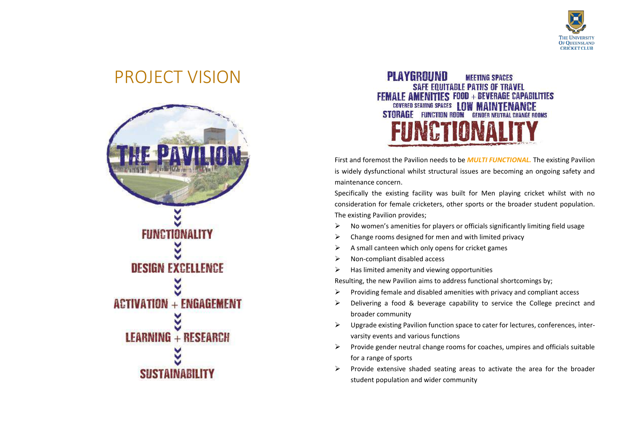

### PROJECT VISION





First and foremost the Pavilion needs to be *MULTI FUNCTIONAL.* The existing Pavilion is widely dysfunctional whilst structural issues are becoming an ongoing safety and maintenance concern.

Specifically the existing facility was built for Men playing cricket whilst with no consideration for female cricketers, other sports or the broader student population. The existing Pavilion provides;

- $\triangleright$  No women's amenities for players or officials significantly limiting field usage
- $\triangleright$  Change rooms designed for men and with limited privacy
- $\triangleright$  A small canteen which only opens for cricket games
- $\triangleright$  Non-compliant disabled access
- $\triangleright$  Has limited amenity and viewing opportunities

Resulting, the new Pavilion aims to address functional shortcomings by;

- $\triangleright$  Providing female and disabled amenities with privacy and compliant access
- Delivering a food & beverage capability to service the College precinct and broader community
- $\triangleright$  Upgrade existing Pavilion function space to cater for lectures, conferences, intervarsity events and various functions
- $\triangleright$  Provide gender neutral change rooms for coaches, umpires and officials suitable for a range of sports
- $\triangleright$  Provide extensive shaded seating areas to activate the area for the broader student population and wider community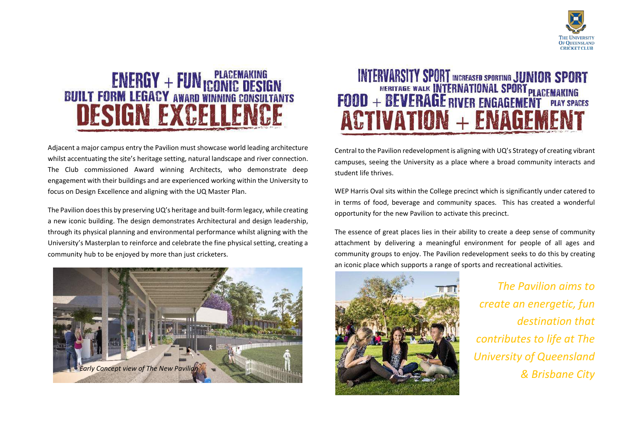



Adjacent a major campus entry the Pavilion must showcase world leading architecture whilst accentuating the site's heritage setting, natural landscape and river connection. The Club commissioned Award winning Architects, who demonstrate deep engagement with their buildings and are experienced working within the University to focus on Design Excellence and aligning with the UQ Master Plan.

The Pavilion does this by preserving UQ's heritage and built-form legacy, while creating a new iconic building. The design demonstrates Architectural and design leadership, through its physical planning and environmental performance whilst aligning with the University's Masterplan to reinforce and celebrate the fine physical setting, creating a community hub to be enjoyed by more than just cricketers.



## INTERVARSITY SPORT INCREASED SPORTING JUNIOR SPORT<br>FOOD + BEVERAGE WALK INTERNATIONAL SPORT PLACEMAKING<br>FOOD + BEVERAGE RIVER ENGAGEMENT PLAY SPACES **ACTIVATION + ENAGEM**

Central to the Pavilion redevelopment is aligning with UQ's Strategy of creating vibrant campuses, seeing the University as a place where a broad community interacts and student life thrives.

WEP Harris Oval sits within the College precinct which is significantly under catered to in terms of food, beverage and community spaces. This has created a wonderful opportunity for the new Pavilion to activate this precinct.

The essence of great places lies in their ability to create a deep sense of community attachment by delivering a meaningful environment for people of all ages and community groups to enjoy. The Pavilion redevelopment seeks to do this by creating an iconic place which supports a range of sports and recreational activities.



*The Pavilion aims to create an energetic, fun destination that contributes to life at The University of Queensland*